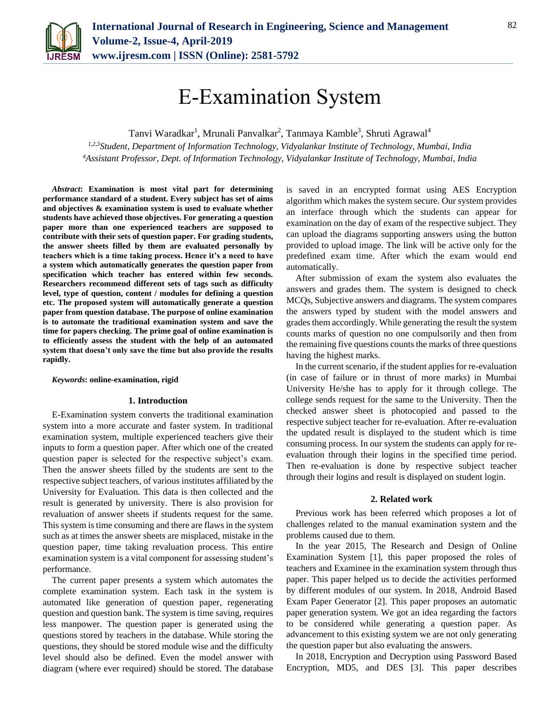

# E-Examination System

Tanvi Waradkar<sup>1</sup>, Mrunali Panvalkar<sup>2</sup>, Tanmaya Kamble<sup>3</sup>, Shruti Agrawal<sup>4</sup>

*1,2,3Student, Department of Information Technology, Vidyalankar Institute of Technology, Mumbai, India <sup>4</sup>Assistant Professor, Dept. of Information Technology, Vidyalankar Institute of Technology, Mumbai, India*

*Abstract***: Examination is most vital part for determining performance standard of a student. Every subject has set of aims and objectives & examination system is used to evaluate whether students have achieved those objectives. For generating a question paper more than one experienced teachers are supposed to contribute with their sets of question paper. For grading students, the answer sheets filled by them are evaluated personally by teachers which is a time taking process. Hence it's a need to have a system which automatically generates the question paper from specification which teacher has entered within few seconds. Researchers recommend different sets of tags such as difficulty level, type of question, content / modules for defining a question etc. The proposed system will automatically generate a question paper from question database. The purpose of online examination is to automate the traditional examination system and save the time for papers checking. The prime goal of online examination is to efficiently assess the student with the help of an automated system that doesn't only save the time but also provide the results rapidly.**

#### *Keywords***: online-examination, rigid**

#### **1. Introduction**

E-Examination system converts the traditional examination system into a more accurate and faster system. In traditional examination system, multiple experienced teachers give their inputs to form a question paper. After which one of the created question paper is selected for the respective subject's exam. Then the answer sheets filled by the students are sent to the respective subject teachers, of various institutes affiliated by the University for Evaluation. This data is then collected and the result is generated by university. There is also provision for revaluation of answer sheets if students request for the same. This system is time consuming and there are flaws in the system such as at times the answer sheets are misplaced, mistake in the question paper, time taking revaluation process. This entire examination system is a vital component for assessing student's performance.

The current paper presents a system which automates the complete examination system. Each task in the system is automated like generation of question paper, regenerating question and question bank. The system is time saving, requires less manpower. The question paper is generated using the questions stored by teachers in the database. While storing the questions, they should be stored module wise and the difficulty level should also be defined. Even the model answer with diagram (where ever required) should be stored. The database is saved in an encrypted format using AES Encryption algorithm which makes the system secure. Our system provides an interface through which the students can appear for examination on the day of exam of the respective subject. They can upload the diagrams supporting answers using the button provided to upload image. The link will be active only for the predefined exam time. After which the exam would end automatically.

After submission of exam the system also evaluates the answers and grades them. The system is designed to check MCQs, Subjective answers and diagrams. The system compares the answers typed by student with the model answers and grades them accordingly. While generating the result the system counts marks of question no one compulsorily and then from the remaining five questions counts the marks of three questions having the highest marks.

In the current scenario, if the student applies for re-evaluation (in case of failure or in thrust of more marks) in Mumbai University He/she has to apply for it through college. The college sends request for the same to the University. Then the checked answer sheet is photocopied and passed to the respective subject teacher for re-evaluation. After re-evaluation the updated result is displayed to the student which is time consuming process. In our system the students can apply for reevaluation through their logins in the specified time period. Then re-evaluation is done by respective subject teacher through their logins and result is displayed on student login.

#### **2. Related work**

Previous work has been referred which proposes a lot of challenges related to the manual examination system and the problems caused due to them.

In the year 2015, The Research and Design of Online Examination System [1], this paper proposed the roles of teachers and Examinee in the examination system through thus paper. This paper helped us to decide the activities performed by different modules of our system. In 2018, Android Based Exam Paper Generator [2]. This paper proposes an automatic paper generation system. We got an idea regarding the factors to be considered while generating a question paper. As advancement to this existing system we are not only generating the question paper but also evaluating the answers.

In 2018, Encryption and Decryption using Password Based Encryption, MD5, and DES [3]. This paper describes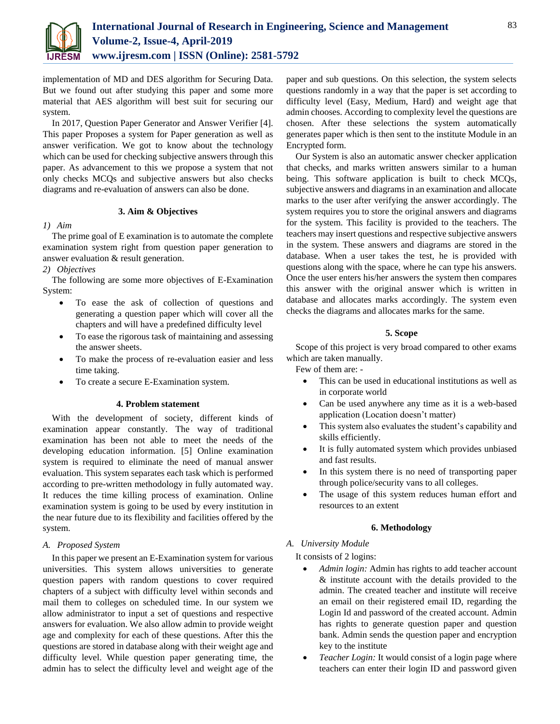

implementation of MD and DES algorithm for Securing Data. But we found out after studying this paper and some more material that AES algorithm will best suit for securing our system.

In 2017, Question Paper Generator and Answer Verifier [4]. This paper Proposes a system for Paper generation as well as answer verification. We got to know about the technology which can be used for checking subjective answers through this paper. As advancement to this we propose a system that not only checks MCQs and subjective answers but also checks diagrams and re-evaluation of answers can also be done.

## **3. Aim & Objectives**

*1) Aim*

The prime goal of E examination is to automate the complete examination system right from question paper generation to answer evaluation & result generation.

*2) Objectives*

The following are some more objectives of E-Examination System:

- To ease the ask of collection of questions and generating a question paper which will cover all the chapters and will have a predefined difficulty level
- To ease the rigorous task of maintaining and assessing the answer sheets.
- To make the process of re-evaluation easier and less time taking.
- To create a secure E-Examination system.

## **4. Problem statement**

With the development of society, different kinds of examination appear constantly. The way of traditional examination has been not able to meet the needs of the developing education information. [5] Online examination system is required to eliminate the need of manual answer evaluation. This system separates each task which is performed according to pre-written methodology in fully automated way. It reduces the time killing process of examination. Online examination system is going to be used by every institution in the near future due to its flexibility and facilities offered by the system.

## *A. Proposed System*

In this paper we present an E-Examination system for various universities. This system allows universities to generate question papers with random questions to cover required chapters of a subject with difficulty level within seconds and mail them to colleges on scheduled time. In our system we allow administrator to input a set of questions and respective answers for evaluation. We also allow admin to provide weight age and complexity for each of these questions. After this the questions are stored in database along with their weight age and difficulty level. While question paper generating time, the admin has to select the difficulty level and weight age of the paper and sub questions. On this selection, the system selects questions randomly in a way that the paper is set according to difficulty level (Easy, Medium, Hard) and weight age that admin chooses. According to complexity level the questions are chosen. After these selections the system automatically generates paper which is then sent to the institute Module in an Encrypted form.

Our System is also an automatic answer checker application that checks, and marks written answers similar to a human being. This software application is built to check MCQs, subjective answers and diagrams in an examination and allocate marks to the user after verifying the answer accordingly. The system requires you to store the original answers and diagrams for the system. This facility is provided to the teachers. The teachers may insert questions and respective subjective answers in the system. These answers and diagrams are stored in the database. When a user takes the test, he is provided with questions along with the space, where he can type his answers. Once the user enters his/her answers the system then compares this answer with the original answer which is written in database and allocates marks accordingly. The system even checks the diagrams and allocates marks for the same.

## **5. Scope**

Scope of this project is very broad compared to other exams which are taken manually.

Few of them are: -

- This can be used in educational institutions as well as in corporate world
- Can be used anywhere any time as it is a web-based application (Location doesn't matter)
- This system also evaluates the student's capability and skills efficiently.
- It is fully automated system which provides unbiased and fast results.
- In this system there is no need of transporting paper through police/security vans to all colleges.
- The usage of this system reduces human effort and resources to an extent

# **6. Methodology**

*A. University Module*

# It consists of 2 logins:

- *Admin login:* Admin has rights to add teacher account & institute account with the details provided to the admin. The created teacher and institute will receive an email on their registered email ID, regarding the Login Id and password of the created account. Admin has rights to generate question paper and question bank. Admin sends the question paper and encryption key to the institute
- *Teacher Login:* It would consist of a login page where teachers can enter their login ID and password given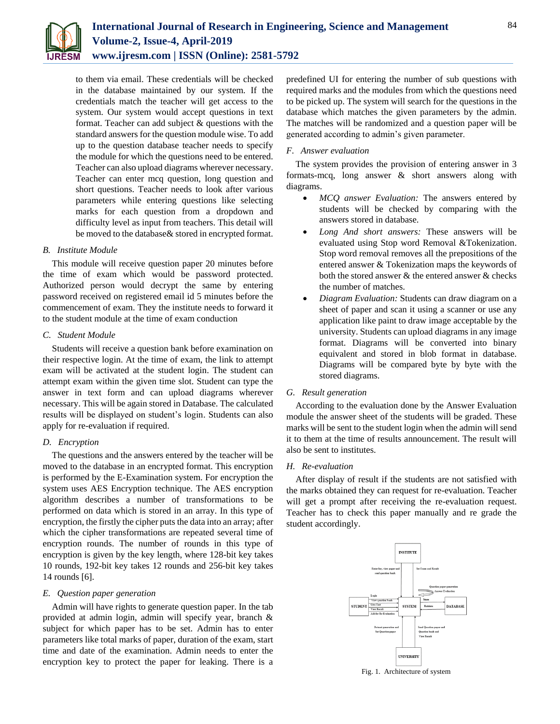

to them via email. These credentials will be checked in the database maintained by our system. If the credentials match the teacher will get access to the system. Our system would accept questions in text format. Teacher can add subject & questions with the standard answers for the question module wise. To add up to the question database teacher needs to specify the module for which the questions need to be entered. Teacher can also upload diagrams wherever necessary. Teacher can enter mcq question, long question and short questions. Teacher needs to look after various parameters while entering questions like selecting marks for each question from a dropdown and difficulty level as input from teachers. This detail will be moved to the database& stored in encrypted format.

#### *B. Institute Module*

This module will receive question paper 20 minutes before the time of exam which would be password protected. Authorized person would decrypt the same by entering password received on registered email id 5 minutes before the commencement of exam. They the institute needs to forward it to the student module at the time of exam conduction

#### *C. Student Module*

Students will receive a question bank before examination on their respective login. At the time of exam, the link to attempt exam will be activated at the student login. The student can attempt exam within the given time slot. Student can type the answer in text form and can upload diagrams wherever necessary. This will be again stored in Database. The calculated results will be displayed on student's login. Students can also apply for re-evaluation if required.

# *D. Encryption*

The questions and the answers entered by the teacher will be moved to the database in an encrypted format. This encryption is performed by the E-Examination system. For encryption the system uses AES Encryption technique. The AES encryption algorithm describes a number of transformations to be performed on data which is stored in an array. In this type of encryption, the firstly the cipher puts the data into an array; after which the cipher transformations are repeated several time of encryption rounds. The number of rounds in this type of encryption is given by the key length, where 128-bit key takes 10 rounds, 192-bit key takes 12 rounds and 256-bit key takes 14 rounds [6].

## *E. Question paper generation*

Admin will have rights to generate question paper. In the tab provided at admin login, admin will specify year, branch & subject for which paper has to be set. Admin has to enter parameters like total marks of paper, duration of the exam, start time and date of the examination. Admin needs to enter the encryption key to protect the paper for leaking. There is a predefined UI for entering the number of sub questions with required marks and the modules from which the questions need to be picked up. The system will search for the questions in the database which matches the given parameters by the admin. The matches will be randomized and a question paper will be generated according to admin's given parameter.

#### *F. Answer evaluation*

The system provides the provision of entering answer in 3 formats-mcq, long answer & short answers along with diagrams.

- *MCQ answer Evaluation:* The answers entered by students will be checked by comparing with the answers stored in database.
- *Long And short answers:* These answers will be evaluated using Stop word Removal &Tokenization. Stop word removal removes all the prepositions of the entered answer & Tokenization maps the keywords of both the stored answer & the entered answer & checks the number of matches.
- *Diagram Evaluation:* Students can draw diagram on a sheet of paper and scan it using a scanner or use any application like paint to draw image acceptable by the university. Students can upload diagrams in any image format. Diagrams will be converted into binary equivalent and stored in blob format in database. Diagrams will be compared byte by byte with the stored diagrams.

#### *G. Result generation*

According to the evaluation done by the Answer Evaluation module the answer sheet of the students will be graded. These marks will be sent to the student login when the admin will send it to them at the time of results announcement. The result will also be sent to institutes.

## *H. Re-evaluation*

After display of result if the students are not satisfied with the marks obtained they can request for re-evaluation. Teacher will get a prompt after receiving the re-evaluation request. Teacher has to check this paper manually and re grade the student accordingly.



#### Fig. 1. Architecture of system